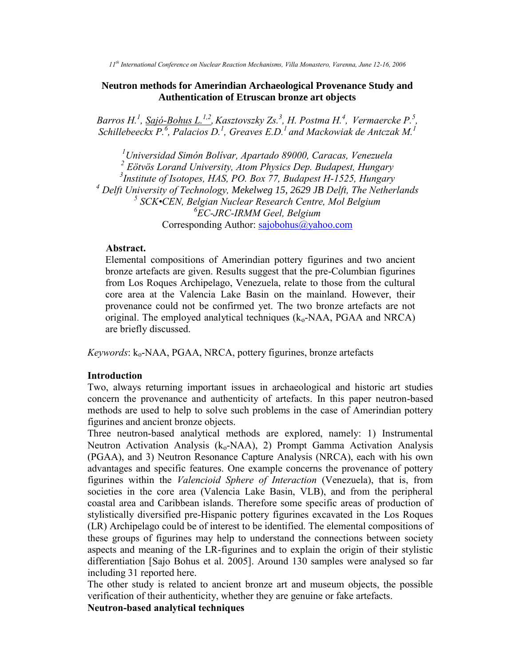*11th International Conference on Nuclear Reaction Mechanisms, Villa Monastero, Varenna, June 12-16, 2006*

### **Neutron methods for Amerindian Archaeological Provenance Study and Authentication of Etruscan bronze art objects**

*Barros H.<sup>1</sup> , Sajó-Bohus L.1,2 ,Kasztovszky Zs.<sup>3</sup> , H. Postma H.<sup>4</sup> , Vermaercke P.<sup>5</sup> , Schillebeeckx P.<sup>6</sup> , Palacios D.<sup>1</sup> , Greaves E.D.<sup>1</sup>and Mackowiak de Antczak M.<sup>1</sup>*

*Universidad Simón Bolívar, Apartado 89000, Caracas, Venezuela Eötvös Lorand University, Atom Physics Dep. Budapest, Hungary Institute of Isotopes, HAS, PO. Box 77, Budapest H-1525, Hungary Delft University of Technology, Mekelweg 15, 2629 JB Delft, The Netherlands SCK•CEN, Belgian Nuclear Research Centre, Mol Belgium EC-JRC-IRMM Geel, Belgium* Corresponding Author: [sajobohus@yahoo.com](mailto:sajobohus@yahoo.com)

#### **Abstract.**

Elemental compositions of Amerindian pottery figurines and two ancient bronze artefacts are given. Results suggest that the pre-Columbian figurines from Los Roques Archipelago, Venezuela, relate to those from the cultural core area at the Valencia Lake Basin on the mainland. However, their provenance could not be confirmed yet. The two bronze artefacts are not original. The employed analytical techniques  $(k_0$ -NAA, PGAA and NRCA) are briefly discussed.

*Keywords*: k<sub>o</sub>-NAA, PGAA, NRCA, pottery figurines, bronze artefacts

#### **Introduction**

Two, always returning important issues in archaeological and historic art studies concern the provenance and authenticity of artefacts. In this paper neutron-based methods are used to help to solve such problems in the case of Amerindian pottery figurines and ancient bronze objects.

Three neutron-based analytical methods are explored, namely: 1) Instrumental Neutron Activation Analysis  $(k_0-NAA)$ , 2) Prompt Gamma Activation Analysis (PGAA), and 3) Neutron Resonance Capture Analysis (NRCA), each with his own advantages and specific features. One example concerns the provenance of pottery figurines within the *Valencioid Sphere of Interaction* (Venezuela), that is, from societies in the core area (Valencia Lake Basin, VLB), and from the peripheral coastal area and Caribbean islands. Therefore some specific areas of production of stylistically diversified pre-Hispanic pottery figurines excavated in the Los Roques (LR) Archipelago could be of interest to be identified. The elemental compositions of these groups of figurines may help to understand the connections between society aspects and meaning of the LR-figurines and to explain the origin of their stylistic differentiation [Sajo Bohus et al. 2005]. Around 130 samples were analysed so far including 31 reported here.

The other study is related to ancient bronze art and museum objects, the possible verification of their authenticity, whether they are genuine or fake artefacts.

# **Neutron-based analytical techniques**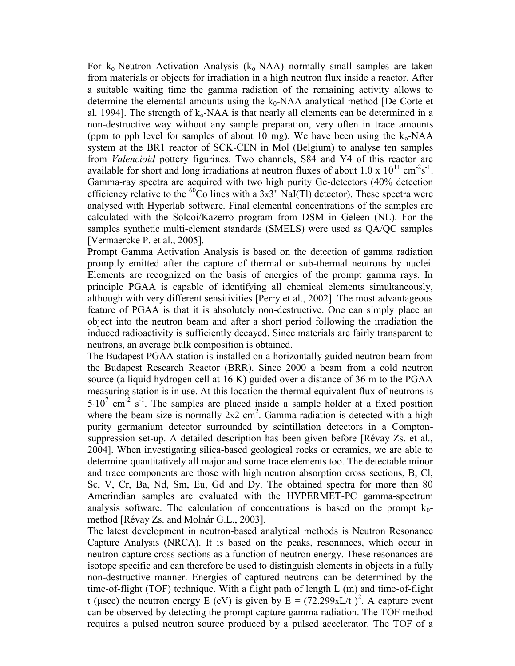For  $k_0$ -Neutron Activation Analysis ( $k_0$ -NAA) normally small samples are taken from materials or objects for irradiation in a high neutron flux inside a reactor. After a suitable waiting time the gamma radiation of the remaining activity allows to determine the elemental amounts using the  $k_0$ -NAA analytical method [De Corte et al. 1994]. The strength of  $k_0$ -NAA is that nearly all elements can be determined in a non-destructive way without any sample preparation, very often in trace amounts (ppm to ppb level for samples of about 10 mg). We have been using the  $k_0$ -NAA system at the BR1 reactor of SCK-CEN in Mol (Belgium) to analyse ten samples from *Valencioid* pottery figurines. Two channels, S84 and Y4 of this reactor are available for short and long irradiations at neutron fluxes of about 1.0 x  $10^{11}$  cm<sup>-2</sup>s<sup>-1</sup>. Gamma-ray spectra are acquired with two high purity Ge-detectors (40% detection efficiency relative to the <sup>60</sup>Co lines with a 3x3<sup>"</sup> NaI(TI) detector). These spectra were analysed with Hyperlab software. Final elemental concentrations of the samples are calculated with the Solcoi/Kazerro program from DSM in Geleen (NL). For the samples synthetic multi-element standards (SMELS) were used as QA/QC samples [Vermaercke P. et al., 2005].

Prompt Gamma Activation Analysis is based on the detection of gamma radiation promptly emitted after the capture of thermal or sub-thermal neutrons by nuclei. Elements are recognized on the basis of energies of the prompt gamma rays. In principle PGAA is capable of identifying all chemical elements simultaneously, although with very different sensitivities [Perry et al., 2002]. The most advantageous feature of PGAA is that it is absolutely non-destructive. One can simply place an object into the neutron beam and after a short period following the irradiation the induced radioactivity is sufficiently decayed. Since materials are fairly transparent to neutrons, an average bulk composition is obtained.

The Budapest PGAA station is installed on a horizontally guided neutron beam from the Budapest Research Reactor (BRR). Since 2000 a beam from a cold neutron source (a liquid hydrogen cell at 16 K) guided over a distance of 36 m to the PGAA measuring station is in use. At this location the thermal equivalent flux of neutrons is  $5.10^7$  cm<sup>-2</sup> s<sup>-1</sup>. The samples are placed inside a sample holder at a fixed position where the beam size is normally  $2x^2$  cm<sup>2</sup>. Gamma radiation is detected with a high purity germanium detector surrounded by scintillation detectors in a Comptonsuppression set-up. A detailed description has been given before [Révay Zs. et al., 2004]. When investigating silica-based geological rocks or ceramics, we are able to determine quantitatively all major and some trace elements too. The detectable minor and trace components are those with high neutron absorption cross sections, B, Cl, Sc, V, Cr, Ba, Nd, Sm, Eu, Gd and Dy. The obtained spectra for more than 80 Amerindian samples are evaluated with the HYPERMET-PC gamma-spectrum analysis software. The calculation of concentrations is based on the prompt  $k_0$ method [Révay Zs. and Molnár G.L., 2003].

The latest development in neutron-based analytical methods is Neutron Resonance Capture Analysis (NRCA). It is based on the peaks, resonances, which occur in neutron-capture cross-sections as a function of neutron energy. These resonances are isotope specific and can therefore be used to distinguish elements in objects in a fully non-destructive manner. Energies of captured neutrons can be determined by the time-of-flight (TOF) technique. With a flight path of length L (m) and time-of-flight t (µsec) the neutron energy E (eV) is given by  $E = (72.299 \text{xL/t})^2$ . A capture event can be observed by detecting the prompt capture gamma radiation. The TOF method requires a pulsed neutron source produced by a pulsed accelerator. The TOF of a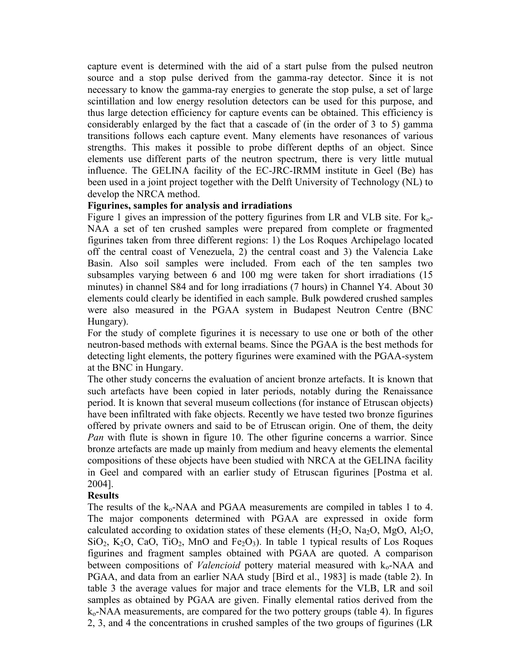capture event is determined with the aid of a start pulse from the pulsed neutron source and a stop pulse derived from the gamma-ray detector. Since it is not necessary to know the gamma-ray energies to generate the stop pulse, a set of large scintillation and low energy resolution detectors can be used for this purpose, and thus large detection efficiency for capture events can be obtained. This efficiency is considerably enlarged by the fact that a cascade of (in the order of 3 to 5) gamma transitions follows each capture event. Many elements have resonances of various strengths. This makes it possible to probe different depths of an object. Since elements use different parts of the neutron spectrum, there is very little mutual influence. The GELINA facility of the EC-JRC-IRMM institute in Geel (Be) has been used in a joint project together with the Delft University of Technology (NL) to develop the NRCA method.

# **Figurines, samples for analysis and irradiations**

Figure 1 gives an impression of the pottery figurines from LR and VLB site. For  $k_0$ -NAA a set of ten crushed samples were prepared from complete or fragmented figurines taken from three different regions: 1) the Los Roques Archipelago located off the central coast of Venezuela, 2) the central coast and 3) the Valencia Lake Basin. Also soil samples were included. From each of the ten samples two subsamples varying between 6 and 100 mg were taken for short irradiations (15 minutes) in channel S84 and for long irradiations (7 hours) in Channel Y4. About 30 elements could clearly be identified in each sample. Bulk powdered crushed samples were also measured in the PGAA system in Budapest Neutron Centre (BNC Hungary).

For the study of complete figurines it is necessary to use one or both of the other neutron-based methods with external beams. Since the PGAA is the best methods for detecting light elements, the pottery figurines were examined with the PGAA-system at the BNC in Hungary.

The other study concerns the evaluation of ancient bronze artefacts. It is known that such artefacts have been copied in later periods, notably during the Renaissance period. It is known that several museum collections (for instance of Etruscan objects) have been infiltrated with fake objects. Recently we have tested two bronze figurines offered by private owners and said to be of Etruscan origin. One of them, the deity *Pan* with flute is shown in figure 10. The other figurine concerns a warrior. Since bronze artefacts are made up mainly from medium and heavy elements the elemental compositions of these objects have been studied with NRCA at the GELINA facility in Geel and compared with an earlier study of Etruscan figurines [Postma et al. 2004].

# **Results**

The results of the  $k_0$ -NAA and PGAA measurements are compiled in tables 1 to 4. The major components determined with PGAA are expressed in oxide form calculated according to oxidation states of these elements  $(H_2O, Na_2O, MgO, Al_2O)$ ,  $SiO<sub>2</sub>$ , K<sub>2</sub>O, CaO, TiO<sub>2</sub>, MnO and Fe<sub>2</sub>O<sub>3</sub>). In table 1 typical results of Los Roques figurines and fragment samples obtained with PGAA are quoted. A comparison between compositions of *Valencioid* pottery material measured with k<sub>o</sub>-NAA and PGAA, and data from an earlier NAA study [Bird et al., 1983] is made (table 2). In table 3 the average values for major and trace elements for the VLB, LR and soil samples as obtained by PGAA are given. Finally elemental ratios derived from the  $k_0$ -NAA measurements, are compared for the two pottery groups (table 4). In figures 2, 3, and 4 the concentrations in crushed samples of the two groups of figurines (LR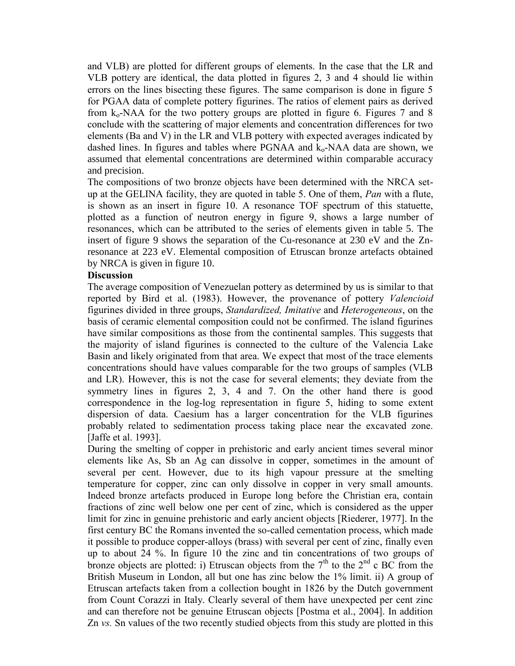and VLB) are plotted for different groups of elements. In the case that the LR and VLB pottery are identical, the data plotted in figures 2, 3 and 4 should lie within errors on the lines bisecting these figures. The same comparison is done in figure 5 for PGAA data of complete pottery figurines. The ratios of element pairs as derived from  $k_0$ -NAA for the two pottery groups are plotted in figure 6. Figures 7 and 8 conclude with the scattering of major elements and concentration differences for two elements (Ba and V) in the LR and VLB pottery with expected averages indicated by dashed lines. In figures and tables where PGNAA and  $k_0$ -NAA data are shown, we assumed that elemental concentrations are determined within comparable accuracy and precision.

The compositions of two bronze objects have been determined with the NRCA setup at the GELINA facility, they are quoted in table 5. One of them, *Pan* with a flute, is shown as an insert in figure 10. A resonance TOF spectrum of this statuette, plotted as a function of neutron energy in figure 9, shows a large number of resonances, which can be attributed to the series of elements given in table 5. The insert of figure 9 shows the separation of the Cu-resonance at 230 eV and the Znresonance at 223 eV. Elemental composition of Etruscan bronze artefacts obtained by NRCA is given in figure 10.

# **Discussion**

The average composition of Venezuelan pottery as determined by us is similar to that reported by Bird et al. (1983). However, the provenance of pottery *Valencioid* figurines divided in three groups, *Standardized, Imitative* and *Heterogeneous*, on the basis of ceramic elemental composition could not be confirmed. The island figurines have similar compositions as those from the continental samples. This suggests that the majority of island figurines is connected to the culture of the Valencia Lake Basin and likely originated from that area. We expect that most of the trace elements concentrations should have values comparable for the two groups of samples (VLB and LR). However, this is not the case for several elements; they deviate from the symmetry lines in figures 2, 3, 4 and 7. On the other hand there is good correspondence in the log-log representation in figure 5, hiding to some extent dispersion of data. Caesium has a larger concentration for the VLB figurines probably related to sedimentation process taking place near the excavated zone. [Jaffe et al. 1993].

During the smelting of copper in prehistoric and early ancient times several minor elements like As, Sb an Ag can dissolve in copper, sometimes in the amount of several per cent. However, due to its high vapour pressure at the smelting temperature for copper, zinc can only dissolve in copper in very small amounts. Indeed bronze artefacts produced in Europe long before the Christian era, contain fractions of zinc well below one per cent of zinc, which is considered as the upper limit for zinc in genuine prehistoric and early ancient objects [Riederer, 1977]. In the first century BC the Romans invented the so-called cementation process, which made it possible to produce copper-alloys (brass) with several per cent of zinc, finally even up to about 24 %. In figure 10 the zinc and tin concentrations of two groups of bronze objects are plotted: i) Etruscan objects from the  $7<sup>th</sup>$  to the  $2<sup>nd</sup>$  c BC from the British Museum in London, all but one has zinc below the 1% limit. ii) A group of Etruscan artefacts taken from a collection bought in 1826 by the Dutch government from Count Corazzi in Italy. Clearly several of them have unexpected per cent zinc and can therefore not be genuine Etruscan objects [Postma et al., 2004]. In addition Zn *vs.* Sn values of the two recently studied objects from this study are plotted in this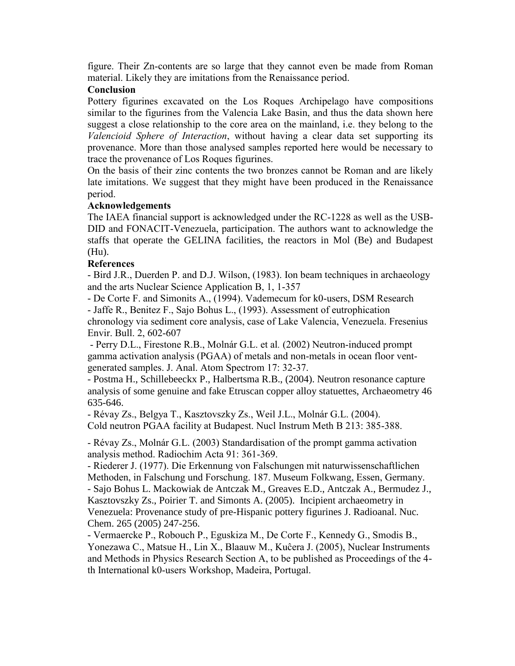figure. Their Zn-contents are so large that they cannot even be made from Roman material. Likely they are imitations from the Renaissance period.

# **Conclusion**

Pottery figurines excavated on the Los Roques Archipelago have compositions similar to the figurines from the Valencia Lake Basin, and thus the data shown here suggest a close relationship to the core area on the mainland, i.e. they belong to the *Valencioid Sphere of Interaction*, without having a clear data set supporting its provenance. More than those analysed samples reported here would be necessary to trace the provenance of Los Roques figurines.

On the basis of their zinc contents the two bronzes cannot be Roman and are likely late imitations. We suggest that they might have been produced in the Renaissance period.

# **Acknowledgements**

The IAEA financial support is acknowledged under the RC-1228 as well as the USB-DID and FONACIT-Venezuela, participation. The authors want to acknowledge the staffs that operate the GELINA facilities, the reactors in Mol (Be) and Budapest (Hu).

# **References**

- Bird J.R., Duerden P. and D.J. Wilson, (1983). Ion beam techniques in archaeology and the arts Nuclear Science Application B, 1, 1-357

- De Corte F. and Simonits A., (1994). Vademecum for k0-users, DSM Research - Jaffe R., Benitez F., Sajo Bohus L., (1993). Assessment of eutrophication chronology via sediment core analysis, case of Lake Valencia, Venezuela. Fresenius Envir. Bull. 2, 602-607

- Perry D.L., Firestone R.B., Molnár G.L. et al*.* (2002) Neutron-induced prompt gamma activation analysis (PGAA) of metals and non-metals in ocean floor ventgenerated samples. J. Anal. Atom Spectrom 17: 32-37.

- Postma H., Schillebeeckx P., Halbertsma R.B., (2004). Neutron resonance capture analysis of some genuine and fake Etruscan copper alloy statuettes, Archaeometry 46 635-646.

- Révay Zs., Belgya T., Kasztovszky Zs., Weil J.L., Molnár G.L. (2004). Cold neutron PGAA facility at Budapest. Nucl Instrum Meth B 213: 385-388.

- Révay Zs., Molnár G.L. (2003) Standardisation of the prompt gamma activation analysis method. Radiochim Acta 91: 361-369.

- Riederer J. (1977). Die Erkennung von Falschungen mit naturwissenschaftlichen Methoden, in Falschung und Forschung. 187. Museum Folkwang, Essen, Germany. - Sajo Bohus L. Mackowiak de Antczak M., Greaves E.D., Antczak A., Bermudez J., Kasztovszky Zs., Poirier T. and Simonts A. (2005). Incipient archaeometry in Venezuela: Provenance study of pre-Hispanic pottery figurines J. Radioanal. Nuc. Chem. 265 (2005) 247-256.

- Vermaercke P., Robouch P., Eguskiza M., De Corte F., Kennedy G., Smodis B., Yonezawa C., Matsue H., Lin X., Blaauw M., Kuĉera J. (2005), Nuclear Instruments and Methods in Physics Research Section A, to be published as Proceedings of the 4 th International k0-users Workshop, Madeira, Portugal.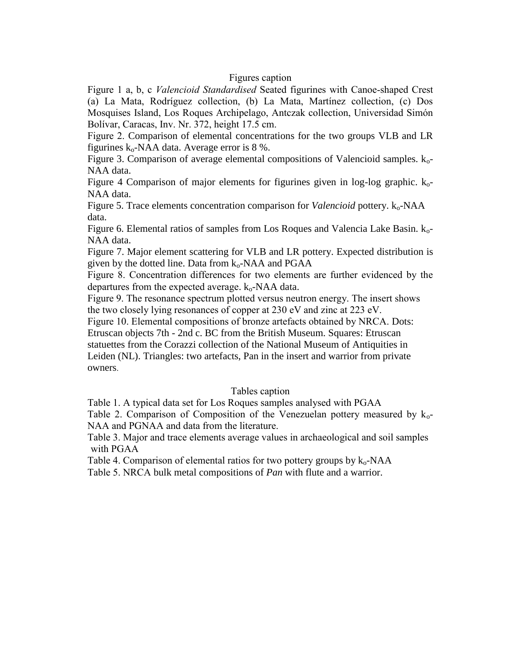### Figures caption

Figure 1 a, b, c *Valencioid Standardised* Seated figurines with Canoe-shaped Crest (a) La Mata, Rodríguez collection, (b) La Mata, Martínez collection, (c) Dos Mosquises Island, Los Roques Archipelago, Antczak collection, Universidad Simón Bolívar, Caracas, Inv. Nr. 372, height 17.5 cm.

Figure 2. Comparison of elemental concentrations for the two groups VLB and LR figurines  $k_0$ -NAA data. Average error is 8 %.

Figure 3. Comparison of average elemental compositions of Valencioid samples.  $k_0$ -NAA data.

Figure 4 Comparison of major elements for figurines given in log-log graphic.  $k_0$ -NAA data.

Figure 5. Trace elements concentration comparison for *Valencioid* pottery.  $k_0$ -NAA data.

Figure 6. Elemental ratios of samples from Los Roques and Valencia Lake Basin. ko-NAA data.

Figure 7. Major element scattering for VLB and LR pottery. Expected distribution is given by the dotted line. Data from  $k_0$ -NAA and PGAA

Figure 8. Concentration differences for two elements are further evidenced by the departures from the expected average.  $k_0$ -NAA data.

Figure 9. The resonance spectrum plotted versus neutron energy. The insert shows the two closely lying resonances of copper at 230 eV and zinc at 223 eV.

Figure 10. Elemental compositions of bronze artefacts obtained by NRCA. Dots:

Etruscan objects 7th - 2nd c. BC from the British Museum. Squares: Etruscan statuettes from the Corazzi collection of the National Museum of Antiquities in Leiden (NL). Triangles: two artefacts, Pan in the insert and warrior from private owners.

#### Tables caption

Table 1. A typical data set for Los Roques samples analysed with PGAA

Table 2. Comparison of Composition of the Venezuelan pottery measured by  $k_0$ -NAA and PGNAA and data from the literature.

Table 3. Major and trace elements average values in archaeological and soil samples with PGAA

Table 4. Comparison of elemental ratios for two pottery groups by  $k_0$ -NAA Table 5. NRCA bulk metal compositions of *Pan* with flute and a warrior.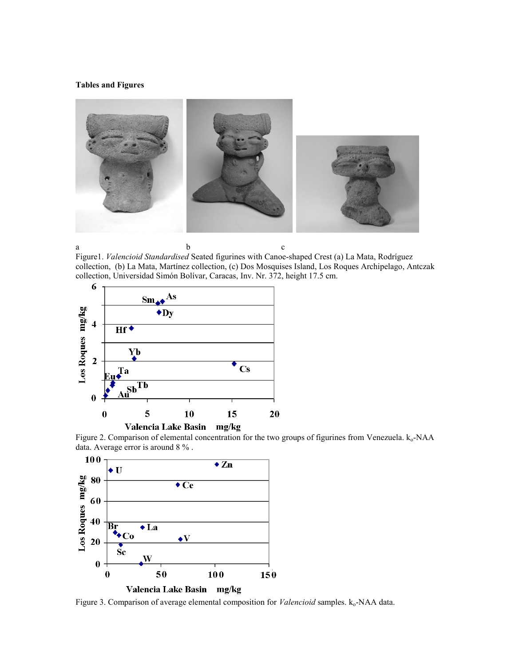#### **Tables and Figures**



a b c Figure1. *Valencioid Standardised* Seated figurines with Canoe-shaped Crest (a) La Mata, Rodríguez collection, (b) La Mata, Martínez collection, (c) Dos Mosquises Island, Los Roques Archipelago, Antczak collection, Universidad Simón Bolívar, Caracas, Inv. Nr. 372, height 17.5 cm.







Figure 3. Comparison of average elemental composition for *Valencioid* samples. k<sub>o</sub>-NAA data.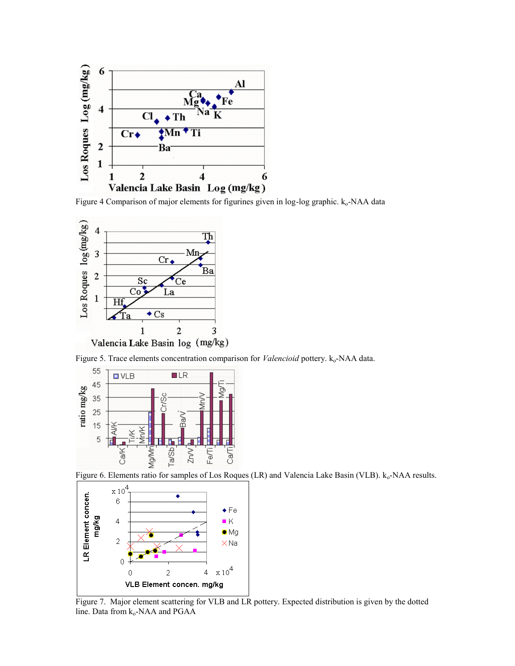

Figure 4 Comparison of major elements for figurines given in log-log graphic. k<sub>o</sub>-NAA data



Figure 5. Trace elements concentration comparison for *Valencioid* pottery. k<sub>o</sub>-NAA data.



Figure 6. Elements ratio for samples of Los Roques (LR) and Valencia Lake Basin (VLB). k<sub>o</sub>-NAA results.



Figure 7. Major element scattering for VLB and LR pottery. Expected distribution is given by the dotted line. Data from k<sub>o</sub>-NAA and PGAA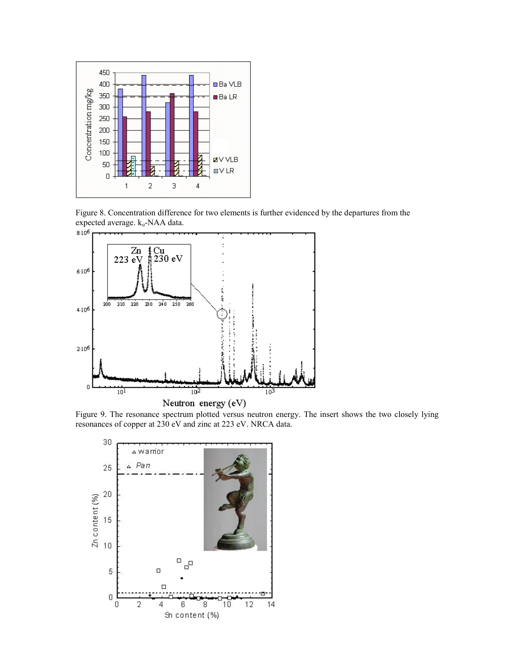

Figure 8. Concentration difference for two elements is further evidenced by the departures from the expected average.  $k_o$ -NAA data.



Figure 9. The resonance spectrum plotted versus neutron energy. The insert shows the two closely lying resonances of copper at 230 eV and zinc at 223 eV. NRCA data.

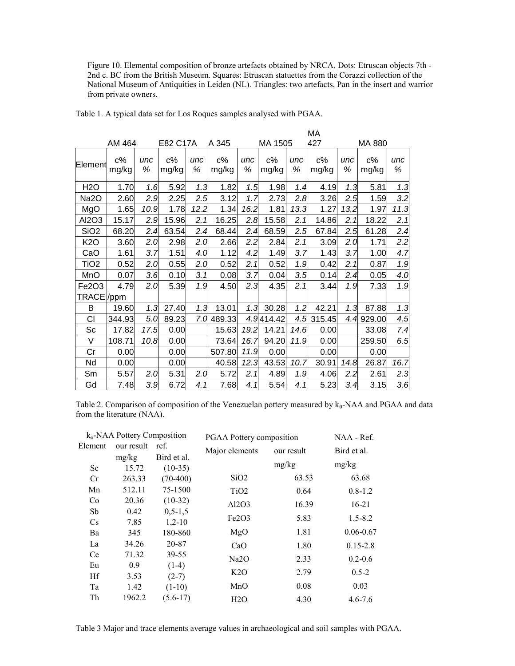Figure 10. Elemental composition of bronze artefacts obtained by NRCA. Dots: Etruscan objects 7th - 2nd c. BC from the British Museum. Squares: Etruscan statuettes from the Corazzi collection of the National Museum of Antiquities in Leiden (NL). Triangles: two artefacts, Pan in the insert and warrior from private owners.

|                   |                |          |                |          |                |          |                |          | МA             |          |                |          |
|-------------------|----------------|----------|----------------|----------|----------------|----------|----------------|----------|----------------|----------|----------------|----------|
|                   | AM 464         |          | E82 C17A       |          | A 345          |          | MA 1505        |          | 427            |          | MA 880         |          |
| Element           | $c\%$<br>mg/kg | unc<br>% | $c\%$<br>mg/kg | unc<br>% | $c\%$<br>mg/kg | unc<br>% | $c\%$<br>mg/kg | unc<br>% | $c\%$<br>mg/kg | unc<br>% | $c\%$<br>mg/kg | unc<br>% |
| <b>H2O</b>        | 1.70           | 1.6      | 5.92           | 1.3      | 1.82           | 1.5      | 1.98           | 1.4      | 4.19           | 1.3      | 5.81           | 1.3      |
| Na <sub>2</sub> O | 2.60           | 2.9      | 2.25           | 2.5      | 3.12           | 1.7      | 2.73           | 2.8      | 3.26           | 2.5      | 1.59           | 3.2      |
| MgO               | 1.65           | 10.9     | 1.78           | 12.2     | 1.34           | 16.2     | 1.81           | 13.3     | 1.27           | 13.2     | 1.97           | 11.3     |
| Al2O3             | 15.17          | 2.9      | 15.96          | 2.1      | 16.25          | 2.8      | 15.58          | 2.1      | 14.86          | 2.1      | 18.22          | 2.1      |
| SiO <sub>2</sub>  | 68.20          | 2.4      | 63.54          | 2.4      | 68.44          | 2.4      | 68.59          | 2.5      | 67.84          | 2.5      | 61.28          | 2.4      |
| <b>K2O</b>        | 3.60           | 2.0      | 2.98           | 2.0      | 2.66           | 2.2      | 2.84           | 2.1      | 3.09           | 2.0      | 1.71           | 2.2      |
| CaO               | 1.61           | 3.7      | 1.51           | 4.0      | 1.12           | 4.2      | 1.49           | 3.7      | 1.43           | 3.7      | 1.00           | 4.7      |
| TiO <sub>2</sub>  | 0.52           | 2.0      | 0.55           | 2.0      | 0.52           | 2.1      | 0.52           | 1.9      | 0.42           | 2.1      | 0.87           | 1.9      |
| MnO               | 0.07           | 3.6      | 0.10           | 3.1      | 0.08           | 3.7      | 0.04           | 3.5      | 0.14           | 2.4      | 0.05           | 4.0      |
| Fe2O3             | 4.79           | 2.0      | 5.39           | 1.9      | 4.50           | 2.3      | 4.35           | 2.1      | 3.44           | 1.9      | 7.33           | 1.9      |
| TRACE /ppm        |                |          |                |          |                |          |                |          |                |          |                |          |
| B                 | 19.60          | 1.3      | 27.40          | 1.3      | 13.01          | 1.3      | 30.28          | 1.2      | 42.21          | 1.3      | 87.88          | 1.3      |
| CI                | 344.93         | 5.0      | 89.23          | 7.0      | 489.33         |          | 4.9414.42      | 4.5      | 315.45         | 4.4      | 929.00         | 4.5      |
| Sc                | 17.82          | 17.5     | 0.00           |          | 15.63          | 19.2     | 14.21          | 14.6     | 0.00           |          | 33.08          | 7.4      |
| V                 | 108.71         | 10.8     | 0.00           |          | 73.64          | 16.7     | 94.20          | 11.9     | 0.00           |          | 259.50         | 6.5      |
| Cr                | 0.00           |          | 0.00           |          | 507.80         | 11.9     | 0.00           |          | 0.00           |          | 0.00           |          |
| Nd                | 0.00           |          | 0.00           |          | 40.58          | 12.3     | 43.53          | 10.7     | 30.91          | 14.8     | 26.87          | 16.7     |
| Sm                | 5.57           | 2.0      | 5.31           | 2.0      | 5.72           | 2.1      | 4.89           | 1.9      | 4.06           | 2.2      | 2.61           | 2.3      |
| Gd                | 7.48           | 3.9      | 6.72           | 4.1      | 7.68           | 4.1      | 5.54           | 4.1      | 5.23           | 3.4      | 3.15           | 3.6      |

Table 1. A typical data set for Los Roques samples analysed with PGAA.

Table 2. Comparison of composition of the Venezuelan pottery measured by  $k_0$ -NAA and PGAA and data from the literature (NAA).

| $k_0$ -NAA Pottery Composition |                    |               | PGAA Pottery composition       | NAA - Ref. |               |  |
|--------------------------------|--------------------|---------------|--------------------------------|------------|---------------|--|
| Element                        | our result<br>ref. |               | Major elements                 | our result | Bird et al.   |  |
|                                | mg/kg              | Bird et al.   |                                |            |               |  |
| Sc                             | 15.72              | $(10-35)$     |                                | mg/kg      | mg/kg         |  |
| Cr                             | 263.33             | $(70-400)$    | SiO <sub>2</sub>               | 63.53      | 63.68         |  |
| Mn                             | 512.11             | 75-1500       | TiO <sub>2</sub>               | 0.64       | $0.8 - 1.2$   |  |
| Co                             | 20.36              | $(10-32)$     | Al2O3                          | 16.39      | $16-21$       |  |
| Sb                             | 0.42               | $0, 5 - 1, 5$ |                                |            |               |  |
| Cs                             | 7.85               | $1,2-10$      | Fe <sub>2</sub> O <sub>3</sub> | 5.83       | $1.5 - 8.2$   |  |
| Ba                             | 345                | 180-860       | MgO                            | 1.81       | $0.06 - 0.67$ |  |
| La                             | 34.26              | 20-87         | CaO                            | 1.80       | $0.15 - 2.8$  |  |
| Ce                             | 71.32              | 39-55         | Na <sub>2</sub> O              | 2.33       | $0.2 - 0.6$   |  |
| Eu                             | 0.9                | $(1-4)$       |                                |            |               |  |
| Hf                             | 3.53               | $(2-7)$       | K2O                            | 2.79       | $0.5 - 2$     |  |
| Ta                             | 1.42               | $(1-10)$      | MnO                            | 0.08       | 0.03          |  |
| Th                             | 1962.2             | $(5.6-17)$    | H2O                            | 4.30       | $4.6 - 7.6$   |  |

Table 3 Major and trace elements average values in archaeological and soil samples with PGAA.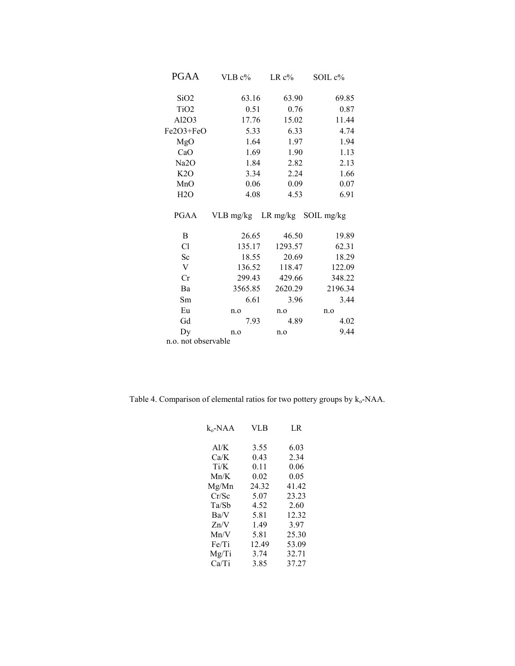| <b>PGAA</b>               | VLB $c\%$                     | $LR c\%$ | SOIL c% |  |  |
|---------------------------|-------------------------------|----------|---------|--|--|
| SiO <sub>2</sub>          | 63.16                         | 63.90    | 69.85   |  |  |
| TiO <sub>2</sub>          | 0.51                          | 0.76     | 0.87    |  |  |
| Al2O3                     | 17.76                         | 15.02    | 11.44   |  |  |
| Fe2O3+FeO                 | 5.33                          | 6.33     | 4.74    |  |  |
| MgO                       | 1.64                          | 1.97     | 1.94    |  |  |
| CaO                       | 1.69                          | 1.90     | 1.13    |  |  |
| Na <sub>2</sub> O         | 1.84                          | 2.82     | 2.13    |  |  |
| K2O                       | 3.34                          | 2.24     | 1.66    |  |  |
| MnO                       | 0.06                          | 0.09     | 0.07    |  |  |
| H2O                       | 4.08                          | 4.53     | 6.91    |  |  |
| <b>PGAA</b>               | VLB mg/kg LR mg/kg SOIL mg/kg |          |         |  |  |
| B                         | 26.65                         | 46.50    | 19.89   |  |  |
| Cl                        | 135.17                        | 1293.57  | 62.31   |  |  |
| Sc                        | 18.55                         | 20.69    | 18.29   |  |  |
| $\ensuremath{\mathbf{V}}$ | 136.52                        | 118.47   | 122.09  |  |  |
| Cr                        | 299.43                        | 429.66   | 348.22  |  |  |
| Ba                        | 3565.85                       | 2620.29  | 2196.34 |  |  |
| Sm                        | 6.61                          | 3.96     | 3.44    |  |  |
| Eu                        | n.o                           | n.o      | n.o     |  |  |
| Gd                        | 7.93                          | 4.89     | 4.02    |  |  |
| Dy                        | n.o                           | n.o      | 9.44    |  |  |
| n.o. not observable       |                               |          |         |  |  |

Table 4. Comparison of elemental ratios for two pottery groups by  $k_o$ -NAA.

| $k_{0}$ -NAA | VLB   | LR    |
|--------------|-------|-------|
| Al/K         | 3.55  | 6.03  |
| Ca/K         | 0.43  | 2.34  |
| Ti/K         | 0.11  | 0.06  |
| Mn/K         | 0.02  | 0.05  |
| Mg/Mn        | 24.32 | 41.42 |
| Cr/Sc        | 5.07  | 23.23 |
| Ta/Sb        | 4.52  | 2.60  |
| Ba/V         | 5.81  | 12.32 |
| Zn/V         | 1.49  | 3.97  |
| Mn/V         | 5.81  | 25.30 |
| Fe/Ti        | 12.49 | 53.09 |
| Mg/Ti        | 3.74  | 32.71 |
| Ca/Ti        | 3.85  | 37.27 |